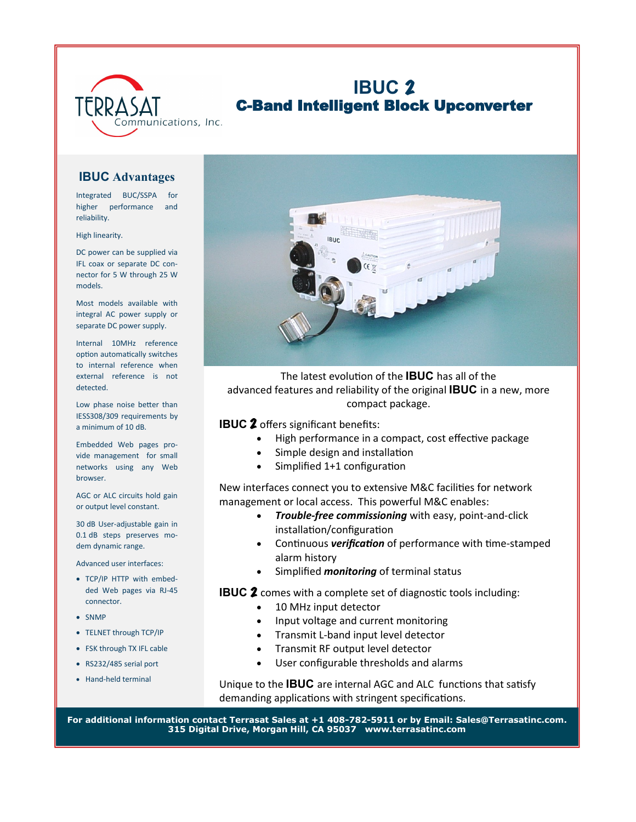

## **IBUC** C-Band Intelligent Block Upconverter

## **IBUC Advantages**

Integrated BUC/SSPA for higher performance and reliability.

High linearity.

DC power can be supplied via IFL coax or separate DC connector for 5 W through 25 W models.

Most models available with integral AC power supply or separate DC power supply.

Internal 10MHz reference option automatically switches to internal reference when external reference is not detected.

Low phase noise better than IESS308/309 requirements by a minimum of 10 dB.

Embedded Web pages provide management for small networks using any Web browser.

AGC or ALC circuits hold gain or output level constant.

30 dB User-adjustable gain in 0.1 dB steps preserves modem dynamic range.

Advanced user interfaces:

- TCP/IP HTTP with embedded Web pages via RJ-45 connector.
- SNMP
- TELNET through TCP/IP
- FSK through TX IFL cable
- RS232/485 serial port
- Hand-held terminal



The latest evolution of the **IBUC** has all of the advanced features and reliability of the original **IBUC** in a new, more compact package.

**IBUC 2** offers significant benefits:

- High performance in a compact, cost effective package
- Simple design and installation
- Simplified 1+1 configuration

New interfaces connect you to extensive M&C facilities for network management or local access. This powerful M&C enables:

- *Trouble-free commissioning* with easy, point-and-click installation/configuration
- Continuous *verification* of performance with time-stamped alarm history
- Simplified *monitoring* of terminal status

**IBUC 2** comes with a complete set of diagnostic tools including:

- 10 MHz input detector
- Input voltage and current monitoring
- Transmit L-band input level detector
- Transmit RF output level detector
- User configurable thresholds and alarms

Unique to the **IBUC** are internal AGC and ALC functions that satisfy demanding applications with stringent specifications.

**For additional information contact Terrasat Sales at +1 408-782-5911 or by Email: Sales@Terrasatinc.com. 315 Digital Drive, Morgan Hill, CA 95037 www.terrasatinc.com**